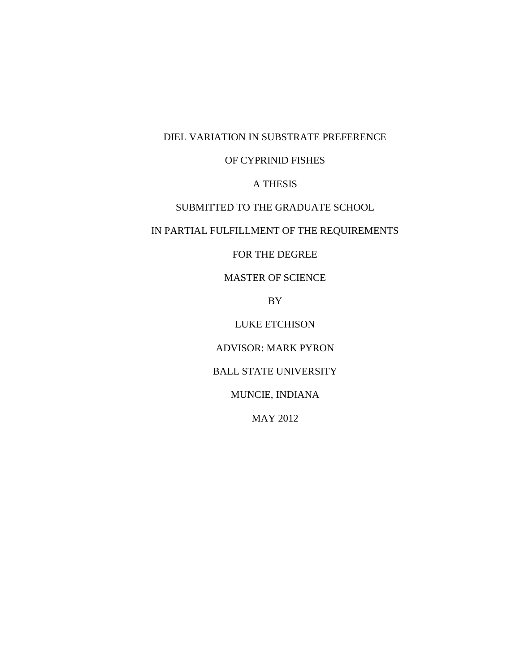DIEL VARIATION IN SUBSTRATE PREFERENCE

# OF CYPRINID FISHES

# A THESIS

# SUBMITTED TO THE GRADUATE SCHOOL

# IN PARTIAL FULFILLMENT OF THE REQUIREMENTS

# FOR THE DEGREE

# MASTER OF SCIENCE

BY

# LUKE ETCHISON

### ADVISOR: MARK PYRON

# BALL STATE UNIVERSITY

# MUNCIE, INDIANA

### MAY 2012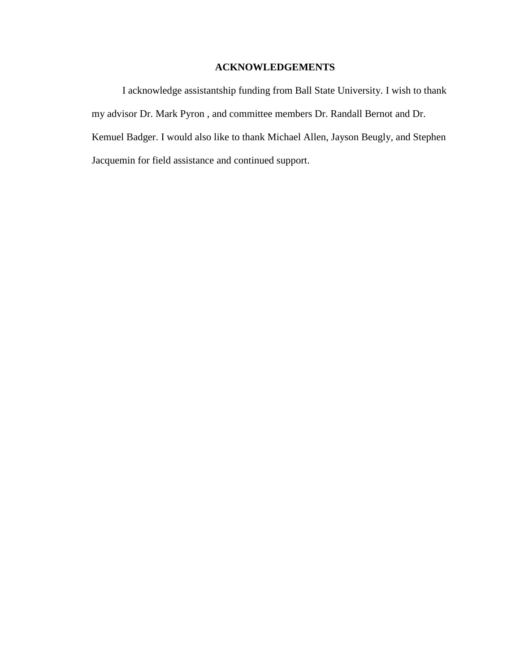# **ACKNOWLEDGEMENTS**

I acknowledge assistantship funding from Ball State University. I wish to thank my advisor Dr. Mark Pyron , and committee members Dr. Randall Bernot and Dr. Kemuel Badger. I would also like to thank Michael Allen, Jayson Beugly, and Stephen Jacquemin for field assistance and continued support.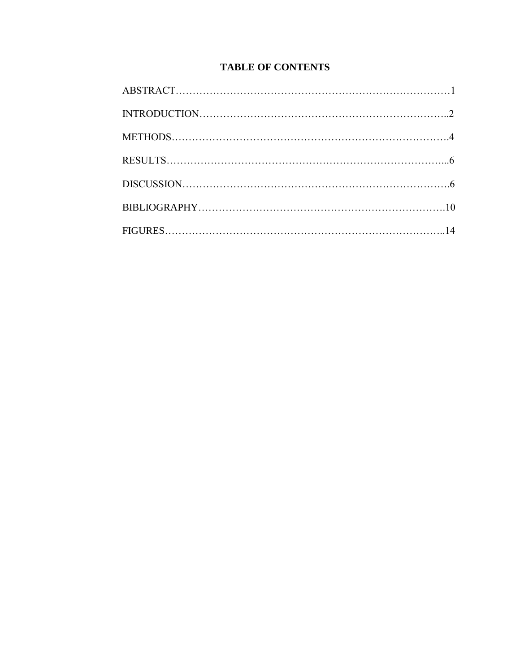# **TABLE OF CONTENTS**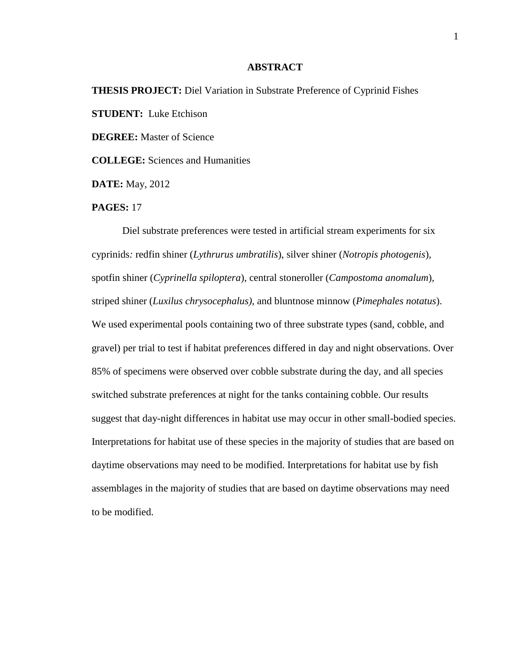### **ABSTRACT**

# **THESIS PROJECT:** Diel Variation in Substrate Preference of Cyprinid Fishes **STUDENT:** Luke Etchison **DEGREE:** Master of Science **COLLEGE:** Sciences and Humanities

**DATE:** May, 2012

### **PAGES:** 17

Diel substrate preferences were tested in artificial stream experiments for six cyprinids*:* redfin shiner (*Lythrurus umbratilis*), silver shiner (*Notropis photogenis*)*,*  spotfin shiner (*Cyprinella spiloptera*), central stoneroller (*Campostoma anomalum*)*,*  striped shiner (*Luxilus chrysocephalus),* and bluntnose minnow (*Pimephales notatus*). We used experimental pools containing two of three substrate types (sand, cobble, and gravel) per trial to test if habitat preferences differed in day and night observations. Over 85% of specimens were observed over cobble substrate during the day, and all species switched substrate preferences at night for the tanks containing cobble. Our results suggest that day-night differences in habitat use may occur in other small-bodied species. Interpretations for habitat use of these species in the majority of studies that are based on daytime observations may need to be modified. Interpretations for habitat use by fish assemblages in the majority of studies that are based on daytime observations may need to be modified.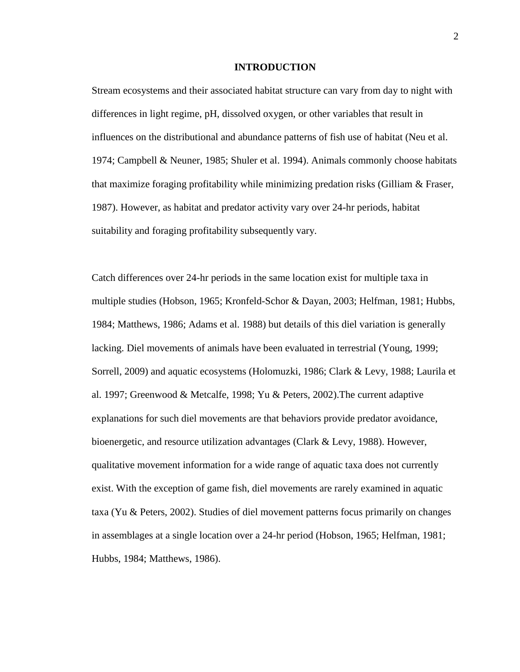### **INTRODUCTION**

Stream ecosystems and their associated habitat structure can vary from day to night with differences in light regime, pH, dissolved oxygen, or other variables that result in influences on the distributional and abundance patterns of fish use of habitat (Neu et al. 1974; Campbell & Neuner, 1985; Shuler et al. 1994). Animals commonly choose habitats that maximize foraging profitability while minimizing predation risks (Gilliam  $\&$  Fraser, 1987). However, as habitat and predator activity vary over 24-hr periods, habitat suitability and foraging profitability subsequently vary.

Catch differences over 24-hr periods in the same location exist for multiple taxa in multiple studies (Hobson, 1965; Kronfeld-Schor & Dayan, 2003; Helfman, 1981; Hubbs, 1984; Matthews, 1986; Adams et al. 1988) but details of this diel variation is generally lacking. Diel movements of animals have been evaluated in terrestrial (Young, 1999; Sorrell, 2009) and aquatic ecosystems (Holomuzki, 1986; Clark & Levy, 1988; Laurila et al. 1997; Greenwood & Metcalfe, 1998; Yu & Peters, 2002).The current adaptive explanations for such diel movements are that behaviors provide predator avoidance, bioenergetic, and resource utilization advantages (Clark & Levy, 1988). However, qualitative movement information for a wide range of aquatic taxa does not currently exist. With the exception of game fish, diel movements are rarely examined in aquatic taxa (Yu & Peters, 2002). Studies of diel movement patterns focus primarily on changes in assemblages at a single location over a 24-hr period (Hobson, 1965; Helfman, 1981; Hubbs, 1984; Matthews, 1986).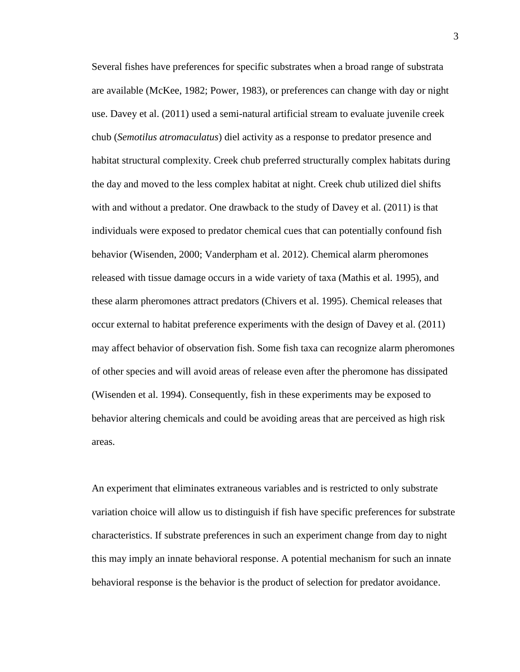Several fishes have preferences for specific substrates when a broad range of substrata are available (McKee, 1982; Power, 1983), or preferences can change with day or night use. Davey et al. (2011) used a semi-natural artificial stream to evaluate juvenile creek chub (*Semotilus atromaculatus*) diel activity as a response to predator presence and habitat structural complexity. Creek chub preferred structurally complex habitats during the day and moved to the less complex habitat at night. Creek chub utilized diel shifts with and without a predator. One drawback to the study of Davey et al. (2011) is that individuals were exposed to predator chemical cues that can potentially confound fish behavior (Wisenden, 2000; Vanderpham et al. 2012). Chemical alarm pheromones released with tissue damage occurs in a wide variety of taxa (Mathis et al. 1995), and these alarm pheromones attract predators (Chivers et al. 1995). Chemical releases that occur external to habitat preference experiments with the design of Davey et al. (2011) may affect behavior of observation fish. Some fish taxa can recognize alarm pheromones of other species and will avoid areas of release even after the pheromone has dissipated (Wisenden et al. 1994). Consequently, fish in these experiments may be exposed to behavior altering chemicals and could be avoiding areas that are perceived as high risk areas.

An experiment that eliminates extraneous variables and is restricted to only substrate variation choice will allow us to distinguish if fish have specific preferences for substrate characteristics. If substrate preferences in such an experiment change from day to night this may imply an innate behavioral response. A potential mechanism for such an innate behavioral response is the behavior is the product of selection for predator avoidance.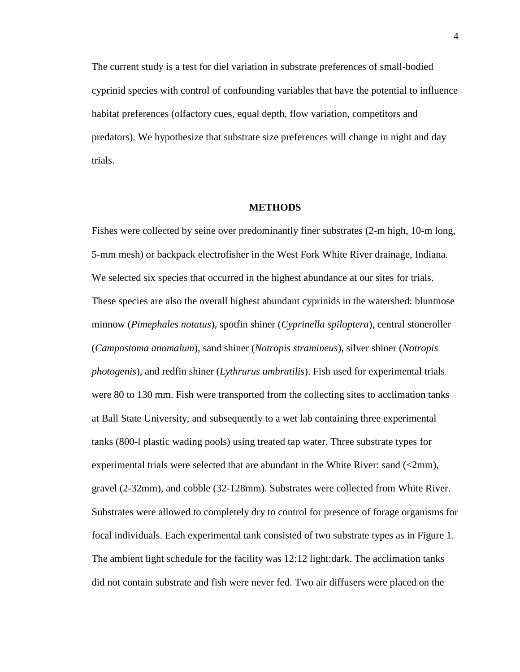The current study is a test for diel variation in substrate preferences of small-bodied cyprinid species with control of confounding variables that have the potential to influence habitat preferences (olfactory cues, equal depth, flow variation, competitors and predators). We hypothesize that substrate size preferences will change in night and day trials.

### **METHODS**

Fishes were collected by seine over predominantly finer substrates (2-m high, 10-m long, 5-mm mesh) or backpack electrofisher in the West Fork White River drainage, Indiana. We selected six species that occurred in the highest abundance at our sites for trials. These species are also the overall highest abundant cyprinids in the watershed: bluntnose minnow (*Pimephales notatus*), spotfin shiner (*Cyprinella spiloptera*), central stoneroller (*Campostoma anomalum*)*,* sand shiner (*Notropis stramineus*), silver shiner (*Notropis photogenis*)*,* and redfin shiner (*Lythrurus umbratilis*). Fish used for experimental trials were 80 to 130 mm. Fish were transported from the collecting sites to acclimation tanks at Ball State University, and subsequently to a wet lab containing three experimental tanks (800-l plastic wading pools) using treated tap water. Three substrate types for experimental trials were selected that are abundant in the White River: sand (<2mm), gravel (2-32mm), and cobble (32-128mm). Substrates were collected from White River. Substrates were allowed to completely dry to control for presence of forage organisms for focal individuals. Each experimental tank consisted of two substrate types as in Figure 1. The ambient light schedule for the facility was 12:12 light:dark. The acclimation tanks did not contain substrate and fish were never fed. Two air diffusers were placed on the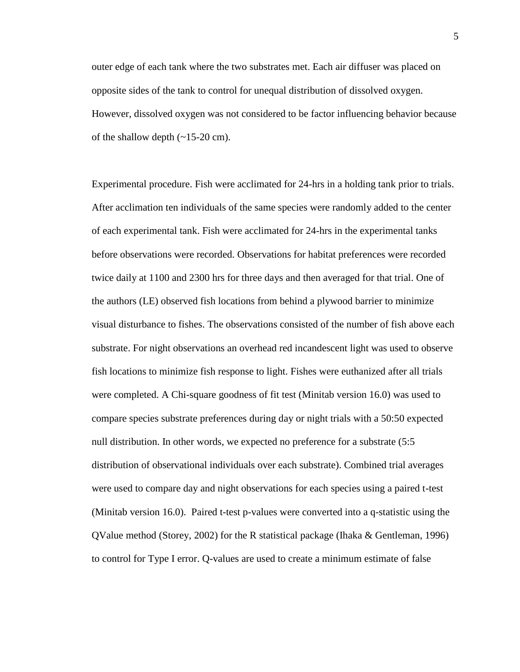outer edge of each tank where the two substrates met. Each air diffuser was placed on opposite sides of the tank to control for unequal distribution of dissolved oxygen. However, dissolved oxygen was not considered to be factor influencing behavior because of the shallow depth  $(-15-20 \text{ cm})$ .

Experimental procedure. Fish were acclimated for 24-hrs in a holding tank prior to trials. After acclimation ten individuals of the same species were randomly added to the center of each experimental tank. Fish were acclimated for 24-hrs in the experimental tanks before observations were recorded. Observations for habitat preferences were recorded twice daily at 1100 and 2300 hrs for three days and then averaged for that trial. One of the authors (LE) observed fish locations from behind a plywood barrier to minimize visual disturbance to fishes. The observations consisted of the number of fish above each substrate. For night observations an overhead red incandescent light was used to observe fish locations to minimize fish response to light. Fishes were euthanized after all trials were completed. A Chi-square goodness of fit test (Minitab version 16.0) was used to compare species substrate preferences during day or night trials with a 50:50 expected null distribution. In other words, we expected no preference for a substrate (5:5 distribution of observational individuals over each substrate). Combined trial averages were used to compare day and night observations for each species using a paired t-test (Minitab version 16.0). Paired t-test p-values were converted into a q-statistic using the QValue method (Storey, 2002) for the R statistical package (Ihaka & Gentleman, 1996) to control for Type I error. Q-values are used to create a minimum estimate of false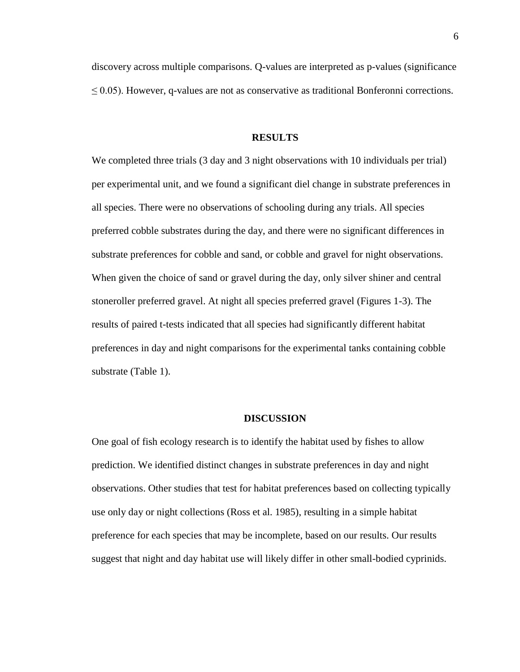discovery across multiple comparisons. Q-values are interpreted as p-values (significance  $\leq$  0.05). However, q-values are not as conservative as traditional Bonferonni corrections.

### **RESULTS**

We completed three trials (3 day and 3 night observations with 10 individuals per trial) per experimental unit, and we found a significant diel change in substrate preferences in all species. There were no observations of schooling during any trials. All species preferred cobble substrates during the day, and there were no significant differences in substrate preferences for cobble and sand, or cobble and gravel for night observations. When given the choice of sand or gravel during the day, only silver shiner and central stoneroller preferred gravel. At night all species preferred gravel (Figures 1-3). The results of paired t-tests indicated that all species had significantly different habitat preferences in day and night comparisons for the experimental tanks containing cobble substrate (Table 1).

#### **DISCUSSION**

One goal of fish ecology research is to identify the habitat used by fishes to allow prediction. We identified distinct changes in substrate preferences in day and night observations. Other studies that test for habitat preferences based on collecting typically use only day or night collections (Ross et al. 1985), resulting in a simple habitat preference for each species that may be incomplete, based on our results. Our results suggest that night and day habitat use will likely differ in other small-bodied cyprinids.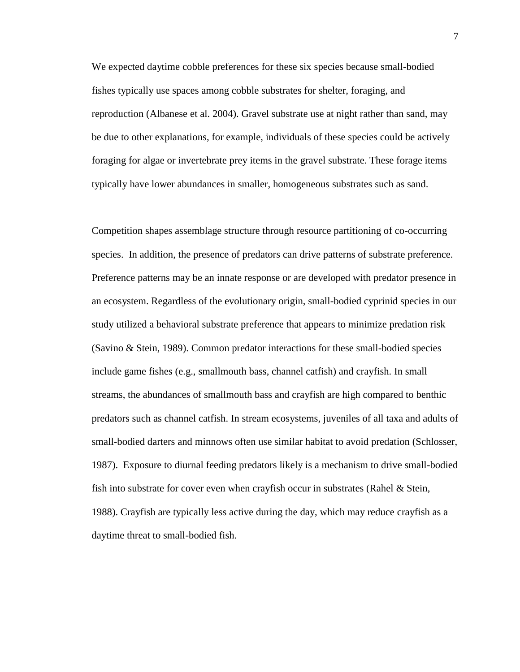We expected daytime cobble preferences for these six species because small-bodied fishes typically use spaces among cobble substrates for shelter, foraging, and reproduction (Albanese et al. 2004). Gravel substrate use at night rather than sand, may be due to other explanations, for example, individuals of these species could be actively foraging for algae or invertebrate prey items in the gravel substrate. These forage items typically have lower abundances in smaller, homogeneous substrates such as sand.

Competition shapes assemblage structure through resource partitioning of co-occurring species. In addition, the presence of predators can drive patterns of substrate preference. Preference patterns may be an innate response or are developed with predator presence in an ecosystem. Regardless of the evolutionary origin, small-bodied cyprinid species in our study utilized a behavioral substrate preference that appears to minimize predation risk (Savino & Stein, 1989). Common predator interactions for these small-bodied species include game fishes (e.g., smallmouth bass, channel catfish) and crayfish. In small streams, the abundances of smallmouth bass and crayfish are high compared to benthic predators such as channel catfish. In stream ecosystems, juveniles of all taxa and adults of small-bodied darters and minnows often use similar habitat to avoid predation (Schlosser, 1987). Exposure to diurnal feeding predators likely is a mechanism to drive small-bodied fish into substrate for cover even when crayfish occur in substrates (Rahel  $\&$  Stein, 1988). Crayfish are typically less active during the day, which may reduce crayfish as a daytime threat to small-bodied fish.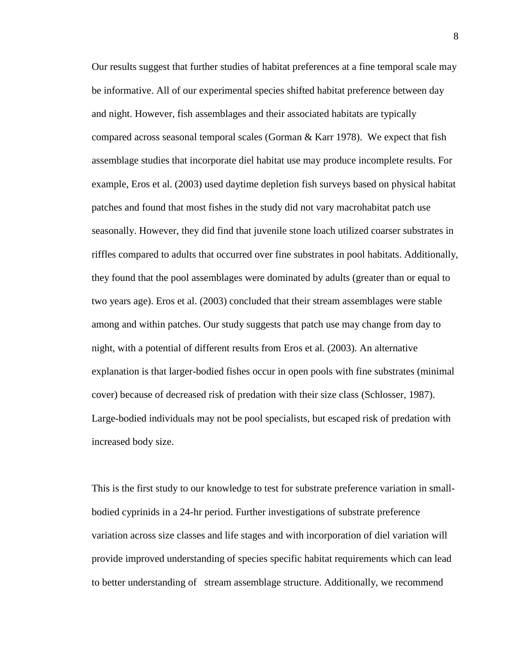Our results suggest that further studies of habitat preferences at a fine temporal scale may be informative. All of our experimental species shifted habitat preference between day and night. However, fish assemblages and their associated habitats are typically compared across seasonal temporal scales (Gorman & Karr 1978). We expect that fish assemblage studies that incorporate diel habitat use may produce incomplete results. For example, Eros et al. (2003) used daytime depletion fish surveys based on physical habitat patches and found that most fishes in the study did not vary macrohabitat patch use seasonally. However, they did find that juvenile stone loach utilized coarser substrates in riffles compared to adults that occurred over fine substrates in pool habitats. Additionally, they found that the pool assemblages were dominated by adults (greater than or equal to two years age). Eros et al. (2003) concluded that their stream assemblages were stable among and within patches. Our study suggests that patch use may change from day to night, with a potential of different results from Eros et al. (2003). An alternative explanation is that larger-bodied fishes occur in open pools with fine substrates (minimal cover) because of decreased risk of predation with their size class (Schlosser, 1987). Large-bodied individuals may not be pool specialists, but escaped risk of predation with increased body size.

This is the first study to our knowledge to test for substrate preference variation in smallbodied cyprinids in a 24-hr period. Further investigations of substrate preference variation across size classes and life stages and with incorporation of diel variation will provide improved understanding of species specific habitat requirements which can lead to better understanding of stream assemblage structure. Additionally, we recommend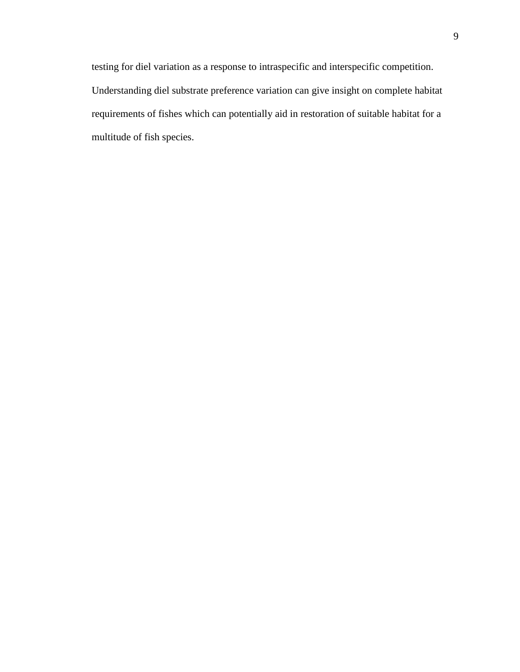testing for diel variation as a response to intraspecific and interspecific competition. Understanding diel substrate preference variation can give insight on complete habitat requirements of fishes which can potentially aid in restoration of suitable habitat for a multitude of fish species.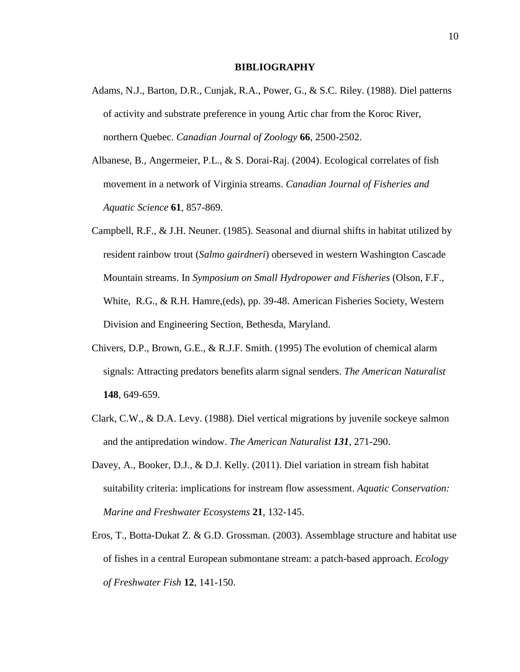#### **BIBLIOGRAPHY**

- Adams, N.J., Barton, D.R., Cunjak, R.A., Power, G., & S.C. Riley. (1988). Diel patterns of activity and substrate preference in young Artic char from the Koroc River, northern Quebec. *Canadian Journal of Zoology* **66**, 2500-2502.
- Albanese, B., Angermeier, P.L., & S. Dorai-Raj. (2004). Ecological correlates of fish movement in a network of Virginia streams. *Canadian Journal of Fisheries and Aquatic Science* **61**, 857-869.
- Campbell, R.F., & J.H. Neuner. (1985). Seasonal and diurnal shifts in habitat utilized by resident rainbow trout (*Salmo gairdneri*) oberseved in western Washington Cascade Mountain streams. In *Symposium on Small Hydropower and Fisheries* (Olson, F.F., White, R.G., & R.H. Hamre,(eds), pp. 39-48. American Fisheries Society, Western Division and Engineering Section, Bethesda, Maryland.
- Chivers, D.P., Brown, G.E., & R.J.F. Smith. (1995) The evolution of chemical alarm signals: Attracting predators benefits alarm signal senders. *The American Naturalist* **148**, 649-659.
- Clark, C.W., & D.A. Levy. (1988). Diel vertical migrations by juvenile sockeye salmon and the antipredation window. *The American Naturalist 131*, 271-290.
- Davey, A., Booker, D.J., & D.J. Kelly. (2011). Diel variation in stream fish habitat suitability criteria: implications for instream flow assessment. *Aquatic Conservation: Marine and Freshwater Ecosystems* **21**, 132-145.
- Eros, T., Botta-Dukat Z. & G.D. Grossman. (2003). Assemblage structure and habitat use of fishes in a central European submontane stream: a patch-based approach. *Ecology of Freshwater Fish* **12**, 141-150.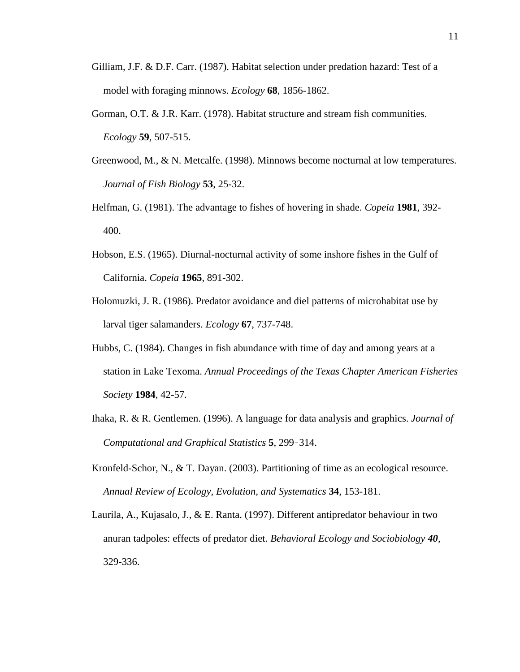- Gilliam, J.F. & D.F. Carr. (1987). Habitat selection under predation hazard: Test of a model with foraging minnows. *Ecology* **68**, 1856-1862.
- Gorman, O.T. & J.R. Karr. (1978). Habitat structure and stream fish communities. *Ecology* **59**, 507-515.
- Greenwood, M., & N. Metcalfe. (1998). Minnows become nocturnal at low temperatures. *Journal of Fish Biology* **53**, 25-32.
- Helfman, G. (1981). The advantage to fishes of hovering in shade. *Copeia* **1981***,* 392- 400.
- Hobson, E.S. (1965). Diurnal-nocturnal activity of some inshore fishes in the Gulf of California. *Copeia* **1965**, 891-302.
- Holomuzki, J. R. (1986). Predator avoidance and diel patterns of microhabitat use by larval tiger salamanders. *Ecology* **67**, 737-748.
- Hubbs, C. (1984). Changes in fish abundance with time of day and among years at a station in Lake Texoma. *Annual Proceedings of the Texas Chapter American Fisheries Society* **1984**, 42-57.
- Ihaka, R. & R. Gentlemen. (1996). A language for data analysis and graphics. *Journal of Computational and Graphical Statistics* **5**, 299–314.
- Kronfeld-Schor, N., & T. Dayan. (2003). Partitioning of time as an ecological resource. *Annual Review of Ecology, Evolution, and Systematics* **34**, 153-181.
- Laurila, A., Kujasalo, J., & E. Ranta. (1997). Different antipredator behaviour in two anuran tadpoles: effects of predator diet. *Behavioral Ecology and Sociobiology 40*, 329-336.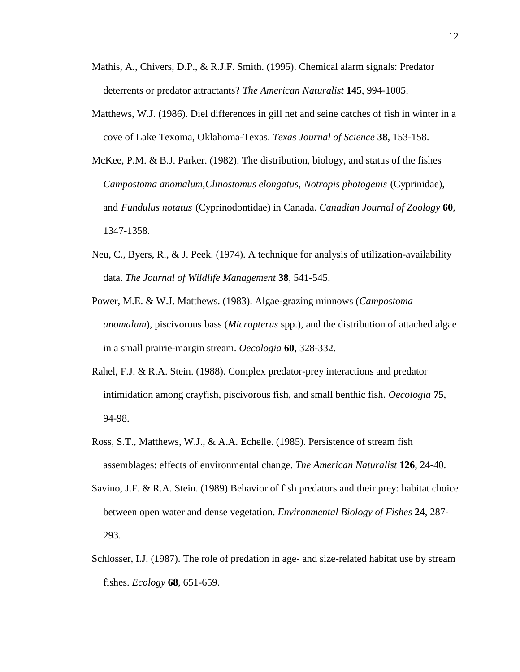- Mathis, A., Chivers, D.P., & R.J.F. Smith. (1995). Chemical alarm signals: Predator deterrents or predator attractants? *The American Naturalist* **145**, 994-1005.
- Matthews, W.J. (1986). Diel differences in gill net and seine catches of fish in winter in a cove of Lake Texoma, Oklahoma-Texas. *Texas Journal of Science* **38**, 153-158.
- McKee, P.M. & B.J. Parker. (1982). The distribution, biology, and status of the fishes *Campostoma anomalum*,*Clinostomus elongatus*, *Notropis photogenis* (Cyprinidae), and *Fundulus notatus* (Cyprinodontidae) in Canada. *Canadian Journal of Zoology* **60**, 1347-1358.
- Neu, C., Byers, R., & J. Peek. (1974). A technique for analysis of utilization-availability data. *The Journal of Wildlife Management* **38**, 541-545.
- Power, M.E. & W.J. Matthews. (1983). Algae-grazing minnows (*Campostoma anomalum*), piscivorous bass (*Micropterus* spp.), and the distribution of attached algae in a small prairie-margin stream. *Oecologia* **60**, 328-332.
- Rahel, F.J. & R.A. Stein. (1988). Complex predator-prey interactions and predator intimidation among crayfish, piscivorous fish, and small benthic fish. *Oecologia* **75**, 94-98.
- Ross, S.T., Matthews, W.J., & A.A. Echelle. (1985). Persistence of stream fish assemblages: effects of environmental change. *The American Naturalist* **126**, 24-40.
- Savino, J.F. & R.A. Stein. (1989) Behavior of fish predators and their prey: habitat choice between open water and dense vegetation. *Environmental Biology of Fishes* **24**, 287- 293.
- Schlosser, I.J. (1987). The role of predation in age- and size-related habitat use by stream fishes. *Ecology* **68**, 651-659.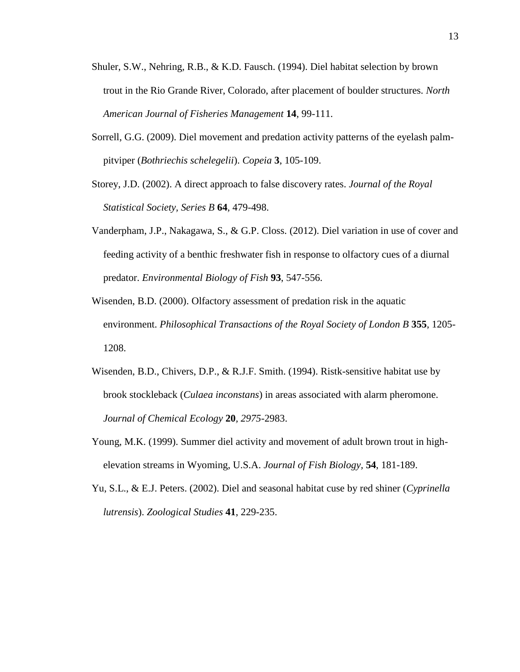- Shuler, S.W., Nehring, R.B., & K.D. Fausch. (1994). Diel habitat selection by brown trout in the Rio Grande River, Colorado, after placement of boulder structures. *North American Journal of Fisheries Management* **14**, 99-111.
- Sorrell, G.G. (2009). Diel movement and predation activity patterns of the eyelash palmpitviper (*Bothriechis schelegelii*). *Copeia* **3**, 105-109.
- Storey, J.D. (2002). A direct approach to false discovery rates. *Journal of the Royal Statistical Society, Series B* **64**, 479-498.
- Vanderpham, J.P., Nakagawa, S., & G.P. Closs. (2012). Diel variation in use of cover and feeding activity of a benthic freshwater fish in response to olfactory cues of a diurnal predator. *Environmental Biology of Fish* **93**, 547-556.
- Wisenden, B.D. (2000). Olfactory assessment of predation risk in the aquatic environment. *Philosophical Transactions of the Royal Society of London B* **355**, 1205- 1208.
- Wisenden, B.D., Chivers, D.P., & R.J.F. Smith. (1994). Ristk-sensitive habitat use by brook stockleback (*Culaea inconstans*) in areas associated with alarm pheromone. *Journal of Chemical Ecology* **20***, 2975*-2983.
- Young, M.K. (1999). Summer diel activity and movement of adult brown trout in highelevation streams in Wyoming, U.S.A. *Journal of Fish Biology,* **54**, 181-189.
- Yu, S.L., & E.J. Peters. (2002). Diel and seasonal habitat cuse by red shiner (*Cyprinella lutrensis*). *Zoological Studies* **41**, 229-235.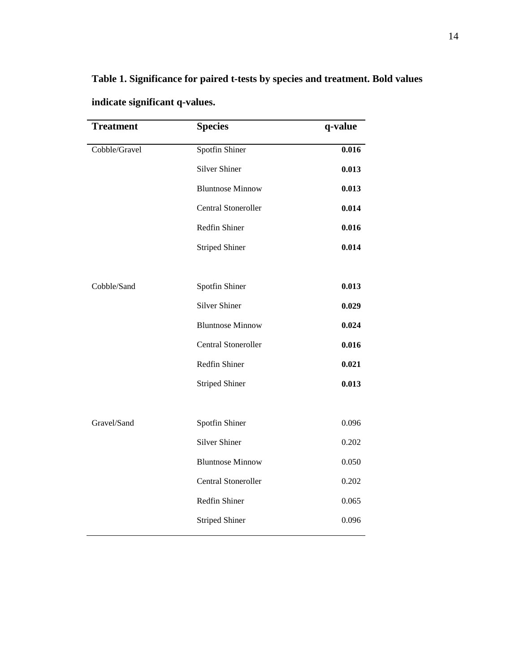# **Table 1. Significance for paired t-tests by species and treatment. Bold values indicate significant q-values.**

| <b>Treatment</b> | <b>Species</b>             | q-value |
|------------------|----------------------------|---------|
| Cobble/Gravel    | <b>Spotfin Shiner</b>      | 0.016   |
|                  | <b>Silver Shiner</b>       | 0.013   |
|                  | <b>Bluntnose Minnow</b>    | 0.013   |
|                  | <b>Central Stoneroller</b> | 0.014   |
|                  | Redfin Shiner              | 0.016   |
|                  | <b>Striped Shiner</b>      | 0.014   |
| Cobble/Sand      | Spotfin Shiner             | 0.013   |
|                  | <b>Silver Shiner</b>       | 0.029   |
|                  | <b>Bluntnose Minnow</b>    | 0.024   |
|                  | Central Stoneroller        | 0.016   |
|                  | Redfin Shiner              | 0.021   |
|                  | <b>Striped Shiner</b>      | 0.013   |
| Gravel/Sand      | Spotfin Shiner             | 0.096   |
|                  | <b>Silver Shiner</b>       | 0.202   |
|                  | <b>Bluntnose Minnow</b>    | 0.050   |
|                  | Central Stoneroller        | 0.202   |
|                  | Redfin Shiner              | 0.065   |
|                  | <b>Striped Shiner</b>      | 0.096   |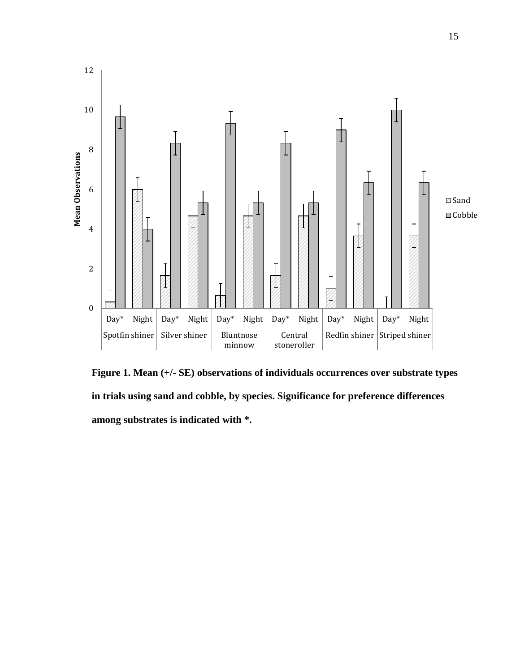

**Figure 1. Mean (+/- SE) observations of individuals occurrences over substrate types in trials using sand and cobble, by species. Significance for preference differences among substrates is indicated with \*.**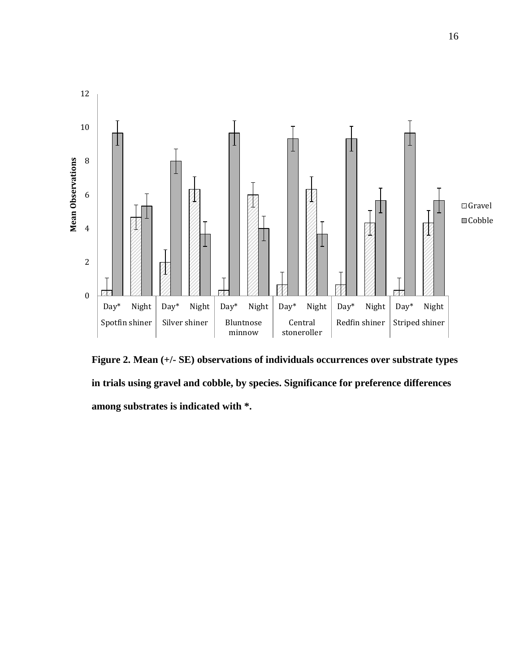

**Figure 2. Mean (+/- SE) observations of individuals occurrences over substrate types in trials using gravel and cobble, by species. Significance for preference differences among substrates is indicated with \*.**